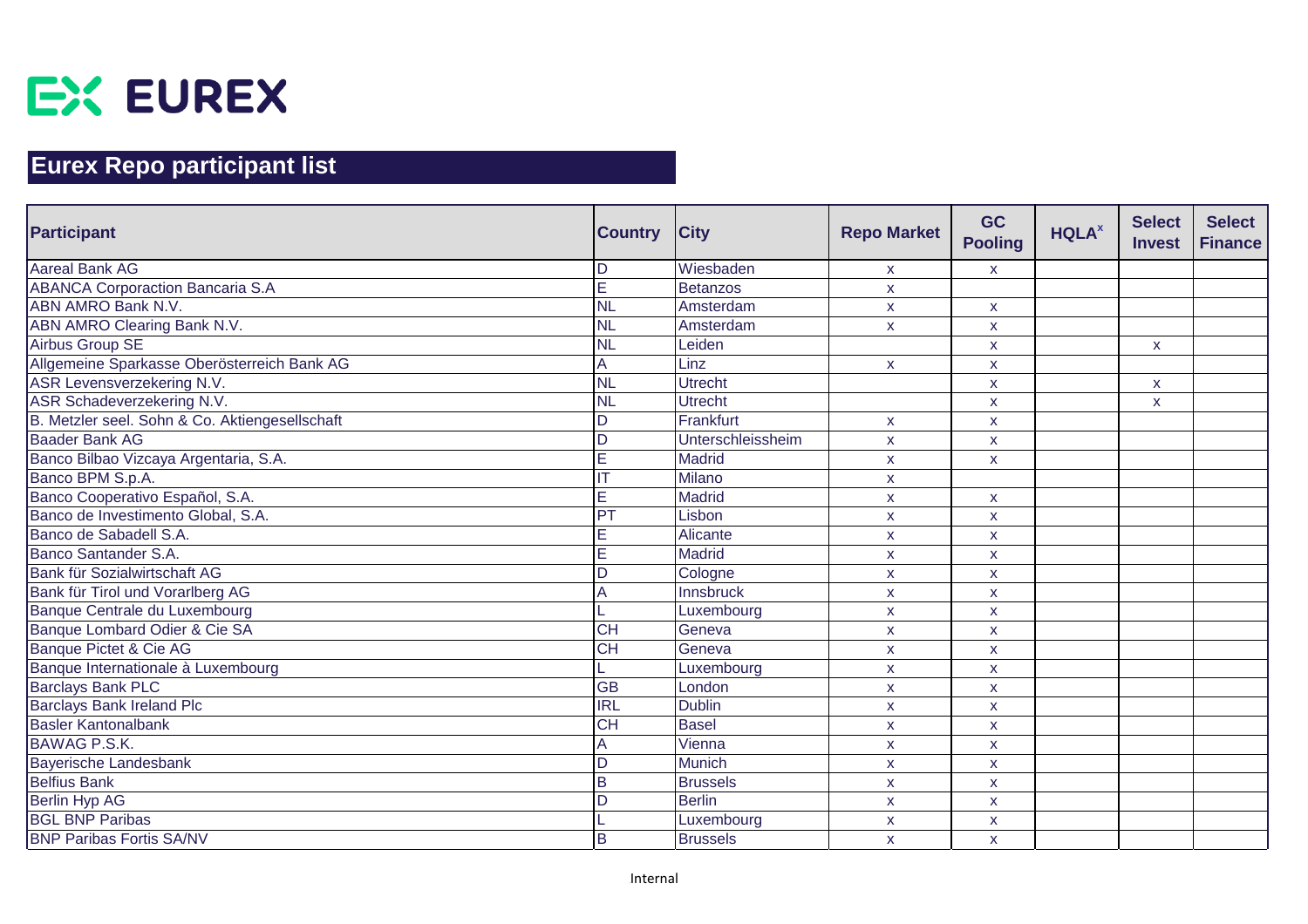

| <b>Participant</b>                             | <b>Country</b>          | <b>City</b>       | <b>Repo Market</b> | <b>GC</b><br><b>Pooling</b> | <b>HQLA</b> <sup>x</sup> | <b>Select</b><br><b>Invest</b> | <b>Select</b><br><b>Finance</b> |
|------------------------------------------------|-------------------------|-------------------|--------------------|-----------------------------|--------------------------|--------------------------------|---------------------------------|
| <b>Aareal Bank AG</b>                          | D                       | Wiesbaden         | X.                 | $\mathsf{X}$                |                          |                                |                                 |
| <b>ABANCA Corporaction Bancaria S.A</b>        | E                       | <b>Betanzos</b>   | X                  |                             |                          |                                |                                 |
| <b>ABN AMRO Bank N.V.</b>                      | <b>NL</b>               | Amsterdam         | X                  | X                           |                          |                                |                                 |
| ABN AMRO Clearing Bank N.V.                    | <b>NL</b>               | Amsterdam         | X.                 | X                           |                          |                                |                                 |
| Airbus Group SE                                | NL                      | Leiden            |                    | X                           |                          | $\mathsf{x}$                   |                                 |
| Allgemeine Sparkasse Oberösterreich Bank AG    |                         | Linz              | $\mathsf{X}$       | $\mathsf{x}$                |                          |                                |                                 |
| ASR Levensverzekering N.V.                     | <b>NL</b>               | <b>Utrecht</b>    |                    | $\mathsf{x}$                |                          | $\mathsf{x}$                   |                                 |
| ASR Schadeverzekering N.V.                     | <b>NL</b>               | <b>Utrecht</b>    |                    | $\mathsf{x}$                |                          | $\mathsf{x}$                   |                                 |
| B. Metzler seel. Sohn & Co. Aktiengesellschaft | D                       | Frankfurt         | $\mathsf{x}$       | $\mathsf{x}$                |                          |                                |                                 |
| <b>Baader Bank AG</b>                          | D                       | Unterschleissheim | X                  | $\mathsf{x}$                |                          |                                |                                 |
| Banco Bilbao Vizcaya Argentaria, S.A.          | E                       | <b>Madrid</b>     | X                  | $\mathsf{x}$                |                          |                                |                                 |
| Banco BPM S.p.A.                               |                         | <b>Milano</b>     | X                  |                             |                          |                                |                                 |
| Banco Cooperativo Español, S.A.                | E                       | <b>Madrid</b>     | X                  | $\mathsf{x}$                |                          |                                |                                 |
| Banco de Investimento Global, S.A.             | PT                      | Lisbon            | X                  | X                           |                          |                                |                                 |
| Banco de Sabadell S.A.                         | Е                       | Alicante          | $\pmb{\mathsf{X}}$ | X                           |                          |                                |                                 |
| Banco Santander S.A.                           | E                       | <b>Madrid</b>     | <b>X</b>           | X                           |                          |                                |                                 |
| Bank für Sozialwirtschaft AG                   | D                       | Cologne           | X                  | X                           |                          |                                |                                 |
| Bank für Tirol und Vorarlberg AG               | А                       | Innsbruck         | $\pmb{\mathsf{X}}$ | $\pmb{\mathsf{X}}$          |                          |                                |                                 |
| Banque Centrale du Luxembourg                  |                         | Luxembourg        | <b>X</b>           | X                           |                          |                                |                                 |
| Banque Lombard Odier & Cie SA                  | $\overline{CH}$         | Geneva            | X                  | X                           |                          |                                |                                 |
| Banque Pictet & Cie AG                         | $\overline{CH}$         | Geneva            | X                  | X                           |                          |                                |                                 |
| Banque Internationale à Luxembourg             |                         | Luxembourg        | $\mathsf{x}$       | $\mathsf{x}$                |                          |                                |                                 |
| <b>Barclays Bank PLC</b>                       | $\overline{GB}$         | London            | X                  | X                           |                          |                                |                                 |
| <b>Barclays Bank Ireland Plc</b>               | $\overline{\text{IRL}}$ | <b>Dublin</b>     | X                  | $\mathsf{x}$                |                          |                                |                                 |
| <b>Basler Kantonalbank</b>                     | <b>CH</b>               | <b>Basel</b>      | $\mathsf{x}$       | $\pmb{\mathsf{X}}$          |                          |                                |                                 |
| <b>BAWAG P.S.K.</b>                            |                         | Vienna            | X                  | $\mathsf{x}$                |                          |                                |                                 |
| <b>Bayerische Landesbank</b>                   | D                       | <b>Munich</b>     | X                  | X                           |                          |                                |                                 |
| <b>Belfius Bank</b>                            | B                       | <b>Brussels</b>   | X                  | X                           |                          |                                |                                 |
| <b>Berlin Hyp AG</b>                           | D                       | <b>Berlin</b>     | X                  | X                           |                          |                                |                                 |
| <b>BGL BNP Paribas</b>                         |                         | Luxembourg        | X                  | X                           |                          |                                |                                 |
| <b>BNP Paribas Fortis SA/NV</b>                | B                       | <b>Brussels</b>   | $\mathsf{x}$       | $\mathsf{X}$                |                          |                                |                                 |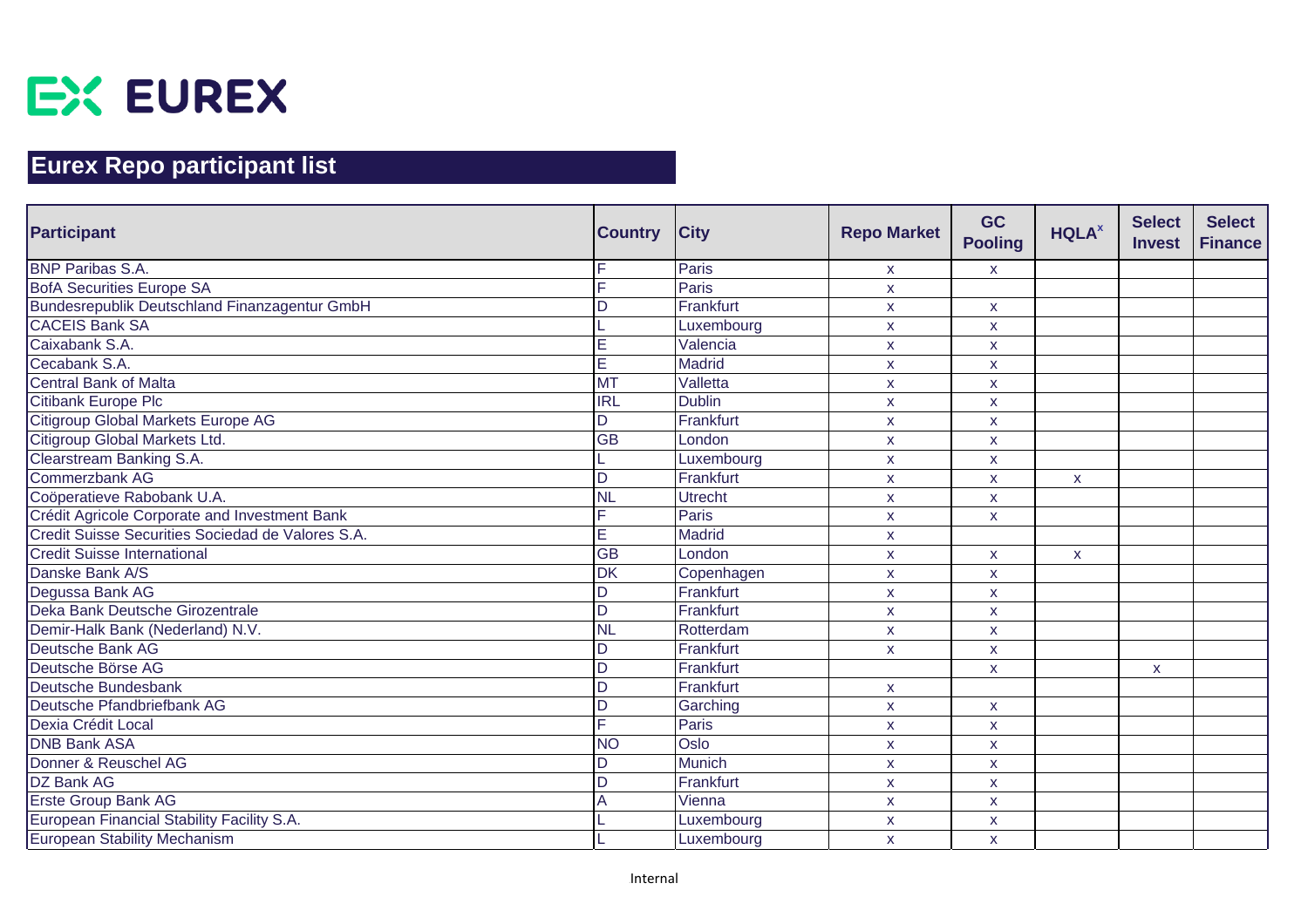

| Participant                                          | <b>Country</b>  | <b>City</b>    | <b>Repo Market</b> | <b>GC</b><br><b>Pooling</b> | <b>HQLA</b> <sup>x</sup> | <b>Select</b><br><b>Invest</b> | <b>Select</b><br><b>Finance</b> |
|------------------------------------------------------|-----------------|----------------|--------------------|-----------------------------|--------------------------|--------------------------------|---------------------------------|
| <b>BNP Paribas S.A.</b>                              |                 | Paris          | X.                 | $\mathsf{X}$                |                          |                                |                                 |
| <b>BofA Securities Europe SA</b>                     |                 | Paris          | X                  |                             |                          |                                |                                 |
| <b>Bundesrepublik Deutschland Finanzagentur GmbH</b> |                 | Frankfurt      | <b>X</b>           | X                           |                          |                                |                                 |
| <b>CACEIS Bank SA</b>                                |                 | Luxembourg     | X                  | X                           |                          |                                |                                 |
| Caixabank S.A.                                       | Е               | Valencia       | X                  | X                           |                          |                                |                                 |
| Cecabank S.A.                                        | E               | <b>Madrid</b>  | X                  | $\mathsf{x}$                |                          |                                |                                 |
| <b>Central Bank of Malta</b>                         | <b>MT</b>       | Valletta       | X                  | X                           |                          |                                |                                 |
| <b>Citibank Europe Plc</b>                           | <b>IRL</b>      | <b>Dublin</b>  | X                  | $\mathsf{x}$                |                          |                                |                                 |
| Citigroup Global Markets Europe AG                   | D               | Frankfurt      | $\mathsf{x}$       | $\mathsf{x}$                |                          |                                |                                 |
| Citigroup Global Markets Ltd.                        | <b>GB</b>       | London         | X                  | $\mathsf{x}$                |                          |                                |                                 |
| Clearstream Banking S.A.                             |                 | Luxembourg     | X                  | $\mathsf{x}$                |                          |                                |                                 |
| Commerzbank AG                                       | D               | Frankfurt      | X                  | $\mathsf{x}$                | $\mathsf{x}$             |                                |                                 |
| Coöperatieve Rabobank U.A.                           | <b>NL</b>       | <b>Utrecht</b> | X                  | $\mathsf{x}$                |                          |                                |                                 |
| Crédit Agricole Corporate and Investment Bank        |                 | Paris          | X                  | $\mathsf{x}$                |                          |                                |                                 |
| Credit Suisse Securities Sociedad de Valores S.A.    | Е               | Madrid         | X                  |                             |                          |                                |                                 |
| <b>Credit Suisse International</b>                   | $\overline{GB}$ | London         | X                  | $\mathsf{x}$                | X                        |                                |                                 |
| Danske Bank A/S                                      | <b>DK</b>       | Copenhagen     | X                  | $\mathsf{x}$                |                          |                                |                                 |
| Degussa Bank AG                                      | ח               | Frankfurt      | X                  | $\mathsf{X}$                |                          |                                |                                 |
| Deka Bank Deutsche Girozentrale                      | D               | Frankfurt      | X                  | $\mathsf{x}$                |                          |                                |                                 |
| Demir-Halk Bank (Nederland) N.V.                     | <b>NL</b>       | Rotterdam      | X                  | X                           |                          |                                |                                 |
| Deutsche Bank AG                                     | D               | Frankfurt      | $\mathsf{x}$       | X                           |                          |                                |                                 |
| Deutsche Börse AG                                    | D               | Frankfurt      |                    | $\mathsf{x}$                |                          | X                              |                                 |
| Deutsche Bundesbank                                  | D               | Frankfurt      | X                  |                             |                          |                                |                                 |
| Deutsche Pfandbriefbank AG                           |                 | Garching       | X                  | $\mathsf{X}$                |                          |                                |                                 |
| Dexia Crédit Local                                   |                 | Paris          | <b>X</b>           | X                           |                          |                                |                                 |
| <b>DNB Bank ASA</b>                                  | <b>NO</b>       | Oslo           | X                  | X                           |                          |                                |                                 |
| Donner & Reuschel AG                                 | D.              | <b>Munich</b>  | X                  | X                           |                          |                                |                                 |
| <b>DZ Bank AG</b>                                    | D               | Frankfurt      | X                  | $\mathsf{x}$                |                          |                                |                                 |
| <b>Erste Group Bank AG</b>                           |                 | Vienna         | X                  | X                           |                          |                                |                                 |
| European Financial Stability Facility S.A.           |                 | Luxembourg     | X                  | X                           |                          |                                |                                 |
| <b>European Stability Mechanism</b>                  |                 | Luxembourg     | $\mathsf{x}$       | $\mathsf{x}$                |                          |                                |                                 |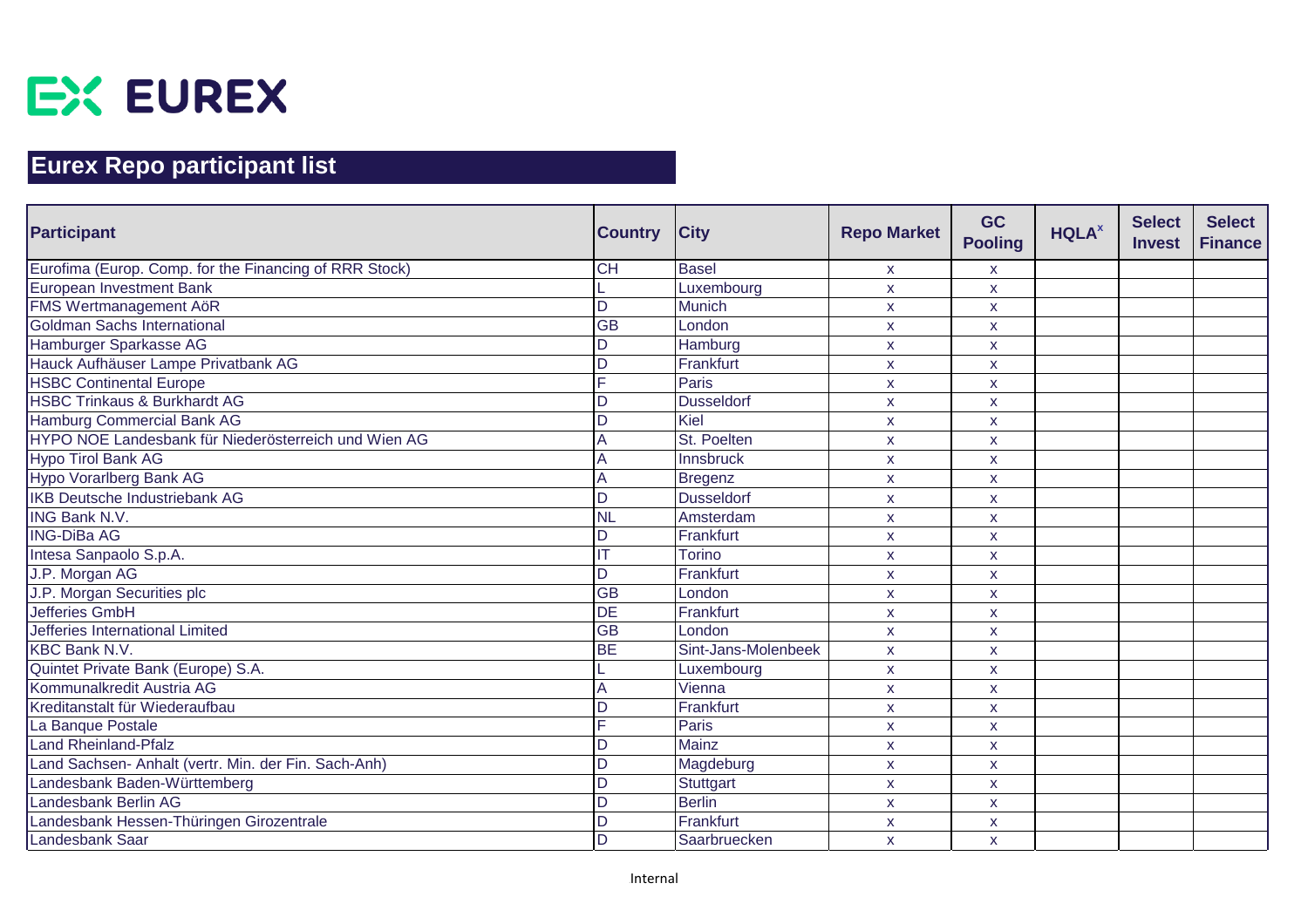

| <b>Participant</b>                                     | <b>Country</b>  | <b>City</b>         | <b>Repo Market</b> | <b>GC</b><br><b>Pooling</b> | <b>HQLA</b> <sup>x</sup> | <b>Select</b><br><b>Invest</b> | <b>Select</b><br><b>Finance</b> |
|--------------------------------------------------------|-----------------|---------------------|--------------------|-----------------------------|--------------------------|--------------------------------|---------------------------------|
| Eurofima (Europ. Comp. for the Financing of RRR Stock) | <b>CH</b>       | <b>Basel</b>        | X                  | $\mathsf{X}$                |                          |                                |                                 |
| European Investment Bank                               |                 | Luxembourg          | X                  | X                           |                          |                                |                                 |
| <b>FMS Wertmanagement AöR</b>                          | D               | <b>Munich</b>       | $\mathsf{x}$       | $\pmb{\mathsf{X}}$          |                          |                                |                                 |
| Goldman Sachs International                            | $\overline{GB}$ | London              | X                  | X                           |                          |                                |                                 |
| Hamburger Sparkasse AG                                 | n               | Hamburg             | <b>X</b>           | X                           |                          |                                |                                 |
| Hauck Aufhäuser Lampe Privatbank AG                    | D               | Frankfurt           | $\mathsf{x}$       | X                           |                          |                                |                                 |
| <b>HSBC Continental Europe</b>                         |                 | <b>Paris</b>        | X                  | X                           |                          |                                |                                 |
| <b>HSBC Trinkaus &amp; Burkhardt AG</b>                | D               | <b>Dusseldorf</b>   | $\mathsf{x}$       | $\mathsf{x}$                |                          |                                |                                 |
| Hamburg Commercial Bank AG                             | D               | Kiel                | X                  | X                           |                          |                                |                                 |
| HYPO NOE Landesbank für Niederösterreich und Wien AG   |                 | St. Poelten         | X                  | X                           |                          |                                |                                 |
| Hypo Tirol Bank AG                                     |                 | Innsbruck           | <b>X</b>           | X                           |                          |                                |                                 |
| Hypo Vorarlberg Bank AG                                |                 | Bregenz             | X                  | X                           |                          |                                |                                 |
| <b>IKB Deutsche Industriebank AG</b>                   |                 | <b>Dusseldorf</b>   | X                  | X                           |                          |                                |                                 |
| <b>ING Bank N.V.</b>                                   | <b>NL</b>       | Amsterdam           | X                  | X                           |                          |                                |                                 |
| <b>ING-DiBa AG</b>                                     | D               | Frankfurt           | $\mathsf{x}$       | $\pmb{\mathsf{X}}$          |                          |                                |                                 |
| Intesa Sanpaolo S.p.A.                                 |                 | <b>Torino</b>       | <b>X</b>           | X                           |                          |                                |                                 |
| J.P. Morgan AG                                         | D               | Frankfurt           | $\mathsf{x}$       | X                           |                          |                                |                                 |
| J.P. Morgan Securities plc                             | $\overline{GB}$ | London              | $\mathsf{x}$       | X.                          |                          |                                |                                 |
| <b>Jefferies GmbH</b>                                  | $\overline{DE}$ | Frankfurt           | X                  | X                           |                          |                                |                                 |
| Jefferies International Limited                        | $\overline{GB}$ | London              | $\mathsf{x}$       | X                           |                          |                                |                                 |
| <b>KBC Bank N.V.</b>                                   | <b>BE</b>       | Sint-Jans-Molenbeek | $\mathsf{X}$       | X                           |                          |                                |                                 |
| Quintet Private Bank (Europe) S.A.                     |                 | Luxembourg          | X                  | X                           |                          |                                |                                 |
| Kommunalkredit Austria AG                              |                 | Vienna              | X                  | X                           |                          |                                |                                 |
| Kreditanstalt für Wiederaufbau                         |                 | Frankfurt           | X                  | X                           |                          |                                |                                 |
| La Banque Postale                                      |                 | Paris               | X                  | X                           |                          |                                |                                 |
| <b>Land Rheinland-Pfalz</b>                            | D               | Mainz               | $\mathsf{x}$       | X                           |                          |                                |                                 |
| Land Sachsen- Anhalt (vertr. Min. der Fin. Sach-Anh)   | $\mathsf{D}$    | Magdeburg           | $\mathsf{x}$       | $\mathsf{x}$                |                          |                                |                                 |
| Landesbank Baden-Württemberg                           | D               | <b>Stuttgart</b>    | X                  | X                           |                          |                                |                                 |
| Landesbank Berlin AG                                   |                 | <b>Berlin</b>       | X                  | X                           |                          |                                |                                 |
| Landesbank Hessen-Thüringen Girozentrale               | D               | Frankfurt           | $\mathsf{x}$       | X                           |                          |                                |                                 |
| Landesbank Saar                                        | D               | Saarbruecken        | $\mathsf{x}$       | X                           |                          |                                |                                 |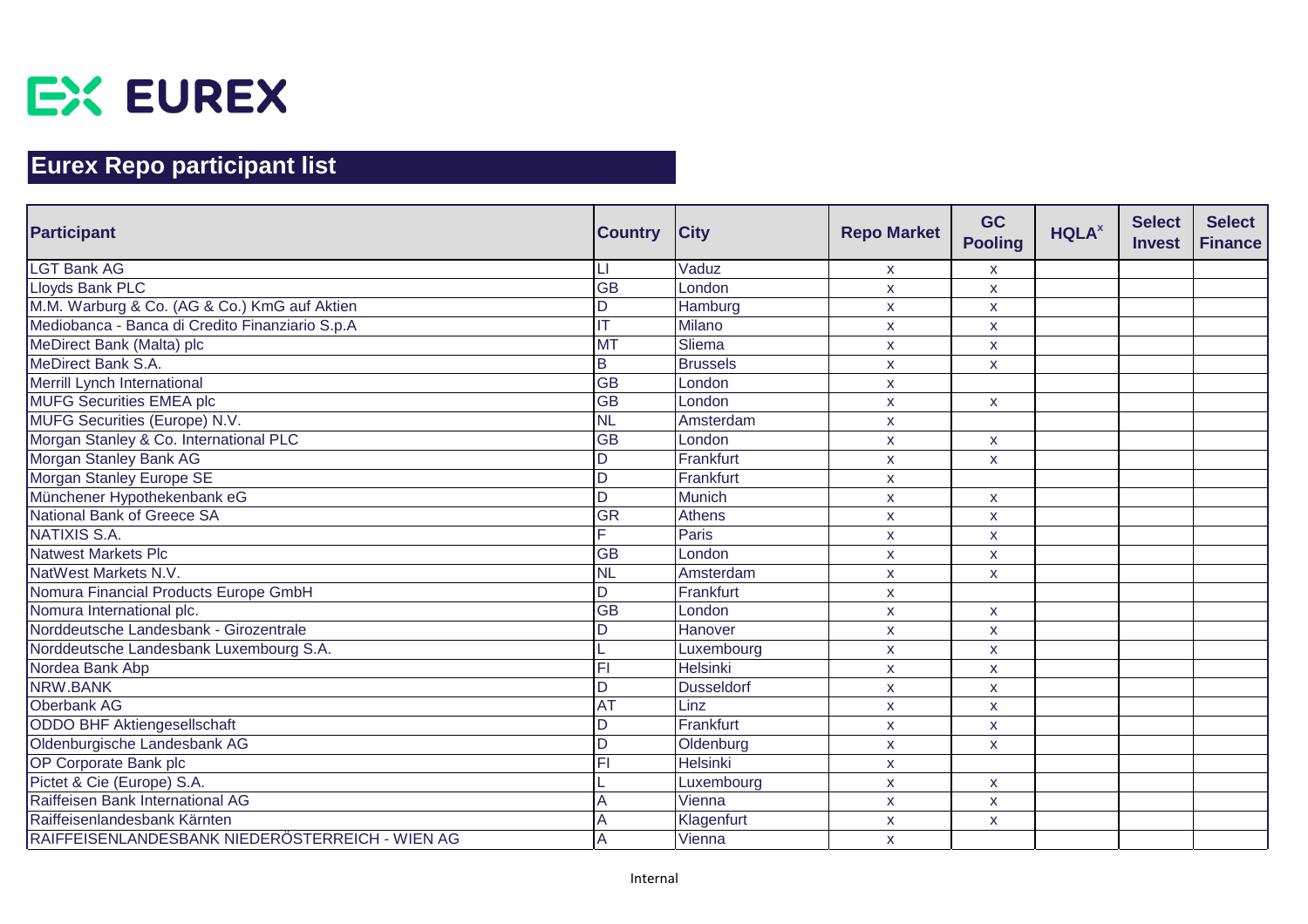

| <b>Participant</b>                              | <b>Country</b>  | <b>City</b>       | <b>Repo Market</b> | <b>GC</b><br><b>Pooling</b> | <b>HQLA</b> <sup>x</sup> | <b>Select</b><br><b>Invest</b> | <b>Select</b><br><b>Finance</b> |
|-------------------------------------------------|-----------------|-------------------|--------------------|-----------------------------|--------------------------|--------------------------------|---------------------------------|
| <b>LGT Bank AG</b>                              |                 | Vaduz             | X.                 | $\mathsf{X}$                |                          |                                |                                 |
| Lloyds Bank PLC                                 | $\overline{GB}$ | London            | X                  | $\mathsf{X}$                |                          |                                |                                 |
| M.M. Warburg & Co. (AG & Co.) KmG auf Aktien    | D               | Hamburg           | $\pmb{\mathsf{x}}$ | $\mathsf{x}$                |                          |                                |                                 |
| Mediobanca - Banca di Credito Finanziario S.p.A |                 | Milano            | X                  | $\mathsf{X}$                |                          |                                |                                 |
| MeDirect Bank (Malta) plc                       | <b>MT</b>       | Sliema            | X                  | $\mathsf{x}$                |                          |                                |                                 |
| MeDirect Bank S.A.                              | B               | <b>Brussels</b>   | $\mathsf{x}$       | $\mathsf{x}$                |                          |                                |                                 |
| Merrill Lynch International                     | <b>GB</b>       | London            | X                  |                             |                          |                                |                                 |
| <b>MUFG Securities EMEA plc</b>                 | <b>GB</b>       | London            | $\mathsf{x}$       | $\mathbf{x}$                |                          |                                |                                 |
| MUFG Securities (Europe) N.V.                   | <b>NL</b>       | Amsterdam         | $\mathsf{x}$       |                             |                          |                                |                                 |
| Morgan Stanley & Co. International PLC          | <b>GB</b>       | London            | X                  | X                           |                          |                                |                                 |
| Morgan Stanley Bank AG                          | D               | Frankfurt         | $\mathsf{x}$       | $\mathsf{x}$                |                          |                                |                                 |
| Morgan Stanley Europe SE                        | D               | Frankfurt         | X                  |                             |                          |                                |                                 |
| Münchener Hypothekenbank eG                     | D               | Munich            | $\mathsf{x}$       | X                           |                          |                                |                                 |
| National Bank of Greece SA                      | <b>GR</b>       | <b>Athens</b>     | X                  | $\mathsf{X}$                |                          |                                |                                 |
| NATIXIS S.A.                                    |                 | <b>Paris</b>      | $\mathsf{x}$       | $\mathsf{x}$                |                          |                                |                                 |
| Natwest Markets Plc                             | GB              | London            | $\mathsf{x}$       | $\pmb{\mathsf{X}}$          |                          |                                |                                 |
| NatWest Markets N.V.                            | <b>NL</b>       | Amsterdam         | X                  | $\mathsf{x}$                |                          |                                |                                 |
| Nomura Financial Products Europe GmbH           | D               | Frankfurt         | X                  |                             |                          |                                |                                 |
| Nomura International plc.                       | <b>GB</b>       | London            | X                  | $\mathsf{x}$                |                          |                                |                                 |
| Norddeutsche Landesbank - Girozentrale          | D               | Hanover           | X                  | X                           |                          |                                |                                 |
| Norddeutsche Landesbank Luxembourg S.A.         |                 | Luxembourg        | $\mathsf{x}$       | $\mathsf{x}$                |                          |                                |                                 |
| Nordea Bank Abp                                 | FI              | <b>Helsinki</b>   | X                  | X                           |                          |                                |                                 |
| NRW.BANK                                        | D               | <b>Dusseldorf</b> | X                  | $\mathsf{X}$                |                          |                                |                                 |
| <b>Oberbank AG</b>                              | AT              | Linz              | $\pmb{\mathsf{x}}$ | $\pmb{\mathsf{X}}$          |                          |                                |                                 |
| ODDO BHF Aktiengesellschaft                     | D               | Frankfurt         | X                  | $\mathsf{X}$                |                          |                                |                                 |
| Oldenburgische Landesbank AG                    | D               | Oldenburg         | X                  | X                           |                          |                                |                                 |
| OP Corporate Bank plc                           | FI              | <b>Helsinki</b>   | $\mathsf{x}$       |                             |                          |                                |                                 |
| Pictet & Cie (Europe) S.A.                      |                 | Luxembourg        | X                  | $\mathsf{x}$                |                          |                                |                                 |
| Raiffeisen Bank International AG                |                 | Vienna            | $\mathsf{x}$       | $\mathsf{x}$                |                          |                                |                                 |
| Raiffeisenlandesbank Kärnten                    |                 | Klagenfurt        | X                  | $\mathsf{x}$                |                          |                                |                                 |
| RAIFFEISENLANDESBANK NIEDERÖSTERREICH - WIEN AG | Α               | Vienna            | <b>X</b>           |                             |                          |                                |                                 |